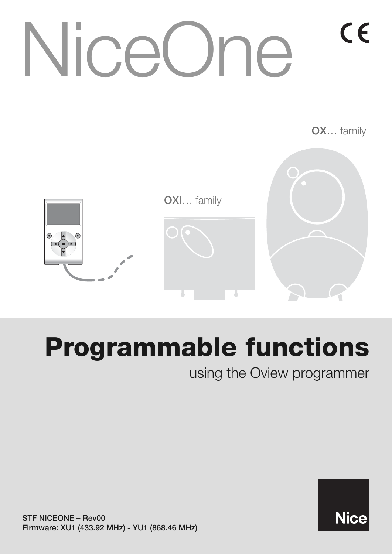# CE [NiceOne](https://nice.ro/accesorii.html)

**OX**… family

**Nice** 



# **Programmable functions**

using the Oview programmer

**STF NICEONE – Rev00 Firmware: XU1 (433.92 MHz) - YU1 (868.46 MHz)**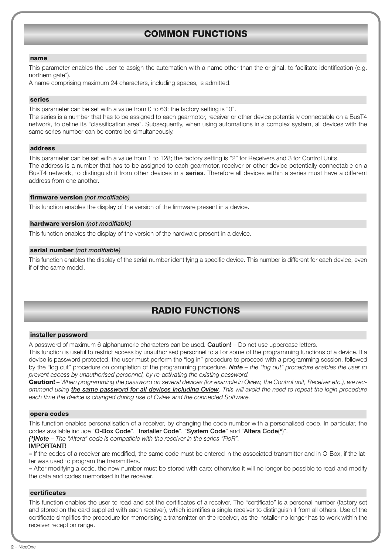# **COMMON FUNCTIONS**

#### **name**

This parameter enables the user to assign the automation with a name other than the original, to facilitate identification (e.g. northern gate").

A name comprising maximum 24 characters, including spaces, is admitted.

#### **series**

This parameter can be set with a value from 0 to 63; the factory setting is "0".

The series is a number that has to be assigned to each gearmotor, receiver or other device potentially connectable on a BusT4 network, to define its "classification area". Subsequently, when using automations in a complex system, all devices with the same series number can be controlled simultaneously.

#### **address**

This parameter can be set with a value from 1 to 128; the factory setting is "2" for Receivers and 3 for Control Units. The address is a number that has to be assigned to each gearmotor, receiver or other device potentially connectable on a BusT4 network, to distinguish it from other devices in a **series**. Therefore all devices within a series must have a different address from one another.

#### **firmware version** *(not modifiable)*

This function enables the display of the version of the firmware present in a device.

#### **hardware version** *(not modifiable)*

This function enables the display of the version of the hardware present in a device.

#### **serial number** *(not modifiable)*

This function enables the display of the serial number identifying a specific device. This number is different for each device, even if of the same model.

## **RADIO FUNCTIONS**

#### **installer password**

A password of maximum 6 alphanumeric characters can be used. **Caution!** – Do not use uppercase letters.

This function is useful to restrict access by unauthorised personnel to all or some of the programming functions of a device. If a device is password protected, the user must perform the "log in" procedure to proceed with a programming session, followed by the "log out" procedure on completion of the programming procedure. *Note – the "log out" procedure enables the user to prevent access by unauthorised personnel, by re-activating the existing password.*

**Caution!** *– When programming the password on several devices (for example in Oview, the Control unit, Receiver etc.), we recommend using the same password for all devices including Oview. This will avoid the need to repeat the login procedure each time the device is changed during use of Oview and the connected Software.*

#### **opera codes**

This function enables personalisation of a receiver, by changing the code number with a personalised code. In particular, the codes available include "**O-Box Code**", "**Installer Code**", "**System Code**" and "**Altera Code**(**\***)".

*(\*)Note – The "Altera" code is compatible with the receiver in the series "FloR".*

#### **IMPORTANT!**

**–** If the codes of a receiver are modified, the same code must be entered in the associated transmitter and in O-Box, if the latter was used to program the transmitters.

**–** After modifying a code, the new number must be stored with care; otherwise it will no longer be possible to read and modify the data and codes memorised in the receiver.

#### **certificates**

This function enables the user to read and set the certificates of a receiver. The "certificate" is a personal number (factory set and stored on the card supplied with each receiver), which identifies a single receiver to distinguish it from all others. Use of the certificate simplifies the procedure for memorising a transmitter on the receiver, as the installer no longer has to work within the receiver reception range.